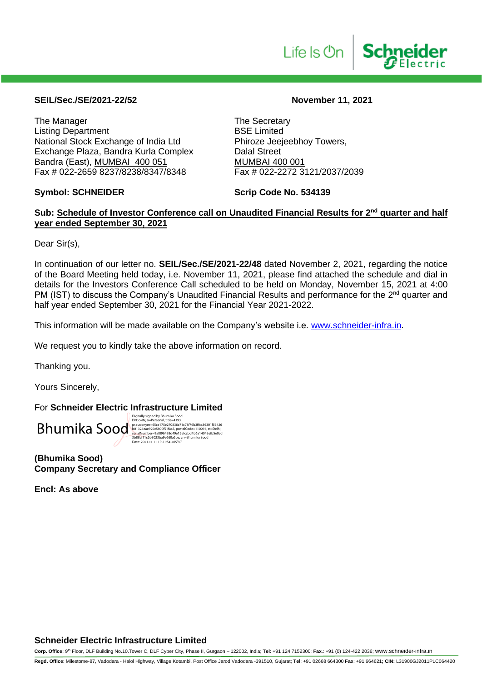

#### **SEIL/Sec./SE/2021-22/52 November 11, 2021**

The Manager<br>
Listing Department<br>
Listing Department<br>
The Secretary<br>
BSE Limited Listing Department<br>
National Stock Exchange of India Ltd
Bhiroze Jeejeebhoy Towers, National Stock Exchange of India Ltd Exchange Plaza, Bandra Kurla Complex Dalal Street Bandra (East), MUMBAI 400 051 MUMBAI 400 001<br>Fax # 022-2659 8237/8238/8347/8348 Fax # 022-2272 3121/2037/2039 Fax # 022-2659 8237/8238/8347/8348

#### **Symbol: SCHNEIDER Scrip Code No. 534139**

#### Sub: Schedule of Investor Conference call on Unaudited Financial Results for 2<sup>nd</sup> quarter and half **year ended September 30, 2021**

Dear Sir(s),

In continuation of our letter no. **SEIL/Sec./SE/2021-22/48** dated November 2, 2021, regarding the notice of the Board Meeting held today, i.e. November 11, 2021, please find attached the schedule and dial in details for the Investors Conference Call scheduled to be held on Monday, November 15, 2021 at 4:00 PM (IST) to discuss the Company's Unaudited Financial Results and performance for the 2<sup>nd</sup> quarter and half year ended September 30, 2021 for the Financial Year 2021-2022.

This information will be made available on the Company's website i.e. [www.schneider-infra.in.](http://www.schneider-infra.in/)

We request you to kindly take the above information on record.

Thanking you.

Yours Sincerely,

For **Schneider Electric Infrastructure Limited**



Digitally signed by Bhumika Sood<br>Dik: Clily Syared By Bhumika Sood<br>pseudonym=45ce 175e270836c71c78f76b3ffca36301f56425<br>b01324eae920c580051faa5, postalCode=110016, st=Delhi,<br>3eïalAlumber=9d896498d49e15efccbd4b6a14045efb5e0c

**(Bhumika Sood) Company Secretary and Compliance Officer**

**Encl: As above**

#### **Schneider Electric Infrastructure Limited**

**Corp. Office**: 9th Floor, DLF Building No.10.Tower C, DLF Cyber City, Phase II, Gurgaon – 122002, India; **Tel**: +91 124 7152300; **Fax**.: +91 (0) 124-422 2036; www.schneider-infra.in

**Regd. Office**: Milestome-87, Vadodara - Halol Highway, Village Kotambi, Post Office Jarod Vadodara -391510, Gujarat; **Tel**: +91 02668 664300 **Fax**: +91 664621**; CIN:** L31900GJ2011PLC064420